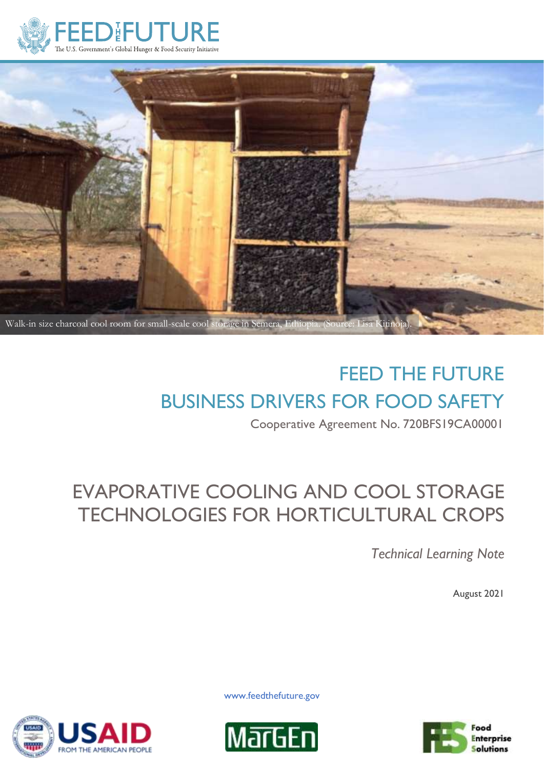



# FEED THE FUTURE BUSINESS DRIVERS FOR FOOD SAFETY

Cooperative Agreement No. 720BFS19CA00001

## EVAPORATIVE COOLING AND COOL STORAGE TECHNOLOGIES FOR HORTICULTURAL CROPS

*Technical Learning Note*

August 2021









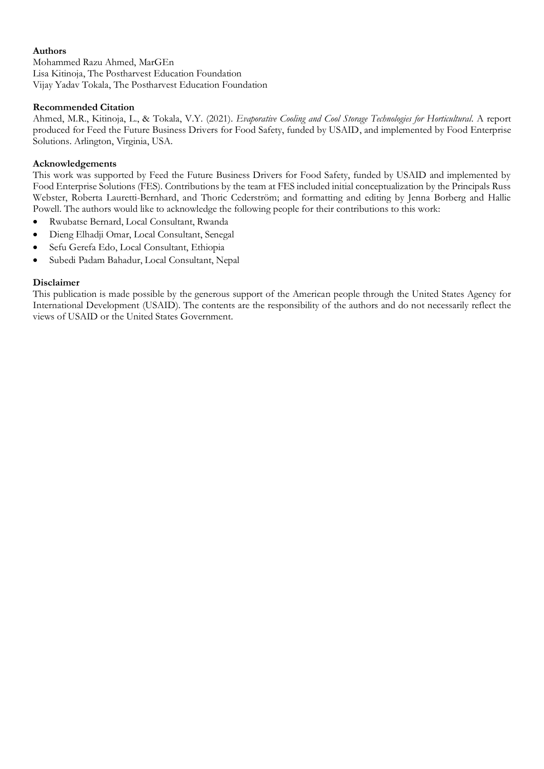#### **Authors**

Mohammed Razu Ahmed, MarGEn Lisa Kitinoja, The Postharvest Education Foundation Vijay Yadav Tokala, The Postharvest Education Foundation

#### **Recommended Citation**

Ahmed, M.R., Kitinoja, L., & Tokala, V.Y. (2021). *Evaporative Cooling and Cool Storage Technologies for Horticultural.* A report produced for Feed the Future Business Drivers for Food Safety, funded by USAID, and implemented by Food Enterprise Solutions. Arlington, Virginia, USA.

#### **Acknowledgements**

This work was supported by Feed the Future Business Drivers for Food Safety, funded by USAID and implemented by Food Enterprise Solutions (FES). Contributions by the team at FES included initial conceptualization by the Principals Russ Webster, Roberta Lauretti-Bernhard, and Thoric Cederström; and formatting and editing by Jenna Borberg and Hallie Powell. The authors would like to acknowledge the following people for their contributions to this work:

- Rwubatse Bernard, Local Consultant, Rwanda
- Dieng Elhadji Omar, Local Consultant, Senegal
- Sefu Gerefa Edo, Local Consultant, Ethiopia
- Subedi Padam Bahadur, Local Consultant, Nepal

#### **Disclaimer**

This publication is made possible by the generous support of the American people through the United States Agency for International Development (USAID). The contents are the responsibility of the authors and do not necessarily reflect the views of USAID or the United States Government.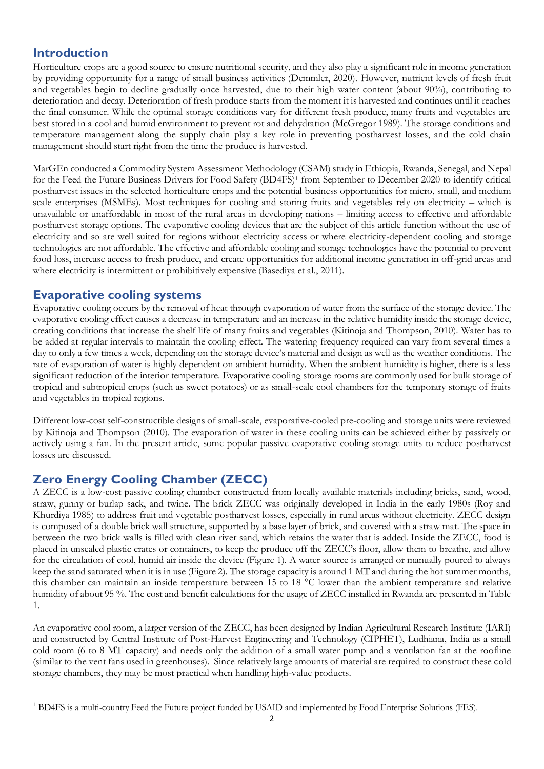#### **Introduction**

Horticulture crops are a good source to ensure nutritional security, and they also play a significant role in income generation by providing opportunity for a range of small business activities (Demmler, 2020). However, nutrient levels of fresh fruit and vegetables begin to decline gradually once harvested, due to their high water content (about 90%), contributing to deterioration and decay. Deterioration of fresh produce starts from the moment it is harvested and continues until it reaches the final consumer. While the optimal storage conditions vary for different fresh produce, many fruits and vegetables are best stored in a cool and humid environment to prevent rot and dehydration (McGregor 1989). The storage conditions and temperature management along the supply chain play a key role in preventing postharvest losses, and the cold chain management should start right from the time the produce is harvested.

MarGEn conducted a Commodity System Assessment Methodology (CSAM) study in Ethiopia, Rwanda, Senegal, and Nepal for the Feed the Future Business Drivers for Food Safety (BD4FS) <sup>1</sup> from September to December 2020 to identify critical postharvest issues in the selected horticulture crops and the potential business opportunities for micro, small, and medium scale enterprises (MSMEs). Most techniques for cooling and storing fruits and vegetables rely on electricity – which is unavailable or unaffordable in most of the rural areas in developing nations – limiting access to effective and affordable postharvest storage options. The evaporative cooling devices that are the subject of this article function without the use of electricity and so are well suited for regions without electricity access or where electricity-dependent cooling and storage technologies are not affordable. The effective and affordable cooling and storage technologies have the potential to prevent food loss, increase access to fresh produce, and create opportunities for additional income generation in off-grid areas and where electricity is intermittent or prohibitively expensive (Basediya et al., 2011).

## **Evaporative cooling systems**

Evaporative cooling occurs by the removal of heat through evaporation of water from the surface of the storage device. The evaporative cooling effect causes a decrease in temperature and an increase in the relative humidity inside the storage device, creating conditions that increase the shelf life of many fruits and vegetables (Kitinoja and Thompson, 2010). Water has to be added at regular intervals to maintain the cooling effect. The watering frequency required can vary from several times a day to only a few times a week, depending on the storage device's material and design as well as the weather conditions. The rate of evaporation of water is highly dependent on ambient humidity. When the ambient humidity is higher, there is a less significant reduction of the interior temperature. Evaporative cooling storage rooms are commonly used for bulk storage of tropical and subtropical crops (such as sweet potatoes) or as small-scale cool chambers for the temporary storage of fruits and vegetables in tropical regions.

Different low-cost self-constructible designs of small-scale, evaporative-cooled pre-cooling and storage units were reviewed by Kitinoja and Thompson (2010). The evaporation of water in these cooling units can be achieved either by passively or actively using a fan. In the present article, some popular passive evaporative cooling storage units to reduce postharvest losses are discussed.

## **Zero Energy Cooling Chamber (ZECC)**

A ZECC is a low-cost passive cooling chamber constructed from locally available materials including bricks, sand, wood, straw, gunny or burlap sack, and twine. The brick ZECC was originally developed in India in the early 1980s (Roy and Khurdiya 1985) to address fruit and vegetable postharvest losses, especially in rural areas without electricity. ZECC design is composed of a double brick wall structure, supported by a base layer of brick, and covered with a straw mat. The space in between the two brick walls is filled with clean river sand, which retains the water that is added. Inside the ZECC, food is placed in unsealed plastic crates or containers, to keep the produce off the ZECC's floor, allow them to breathe, and allow for the circulation of cool, humid air inside the device (Figure 1). A water source is arranged or manually poured to always keep the sand saturated when it is in use (Figure 2). The storage capacity is around 1 MT and during the hot summer months, this chamber can maintain an inside temperature between 15 to 18 °C lower than the ambient temperature and relative humidity of about 95 %. The cost and benefit calculations for the usage of ZECC installed in Rwanda are presented in Table 1.

An evaporative cool room, a larger version of the ZECC, has been designed by Indian Agricultural Research Institute (IARI) and constructed by Central Institute of Post-Harvest Engineering and Technology (CIPHET), Ludhiana, India as a small cold room (6 to 8 MT capacity) and needs only the addition of a small water pump and a ventilation fan at the roofline (similar to the vent fans used in greenhouses). Since relatively large amounts of material are required to construct these cold storage chambers, they may be most practical when handling high-value products.

<sup>&</sup>lt;sup>1</sup> BD4FS is a multi-country Feed the Future project funded by USAID and implemented by Food Enterprise Solutions (FES).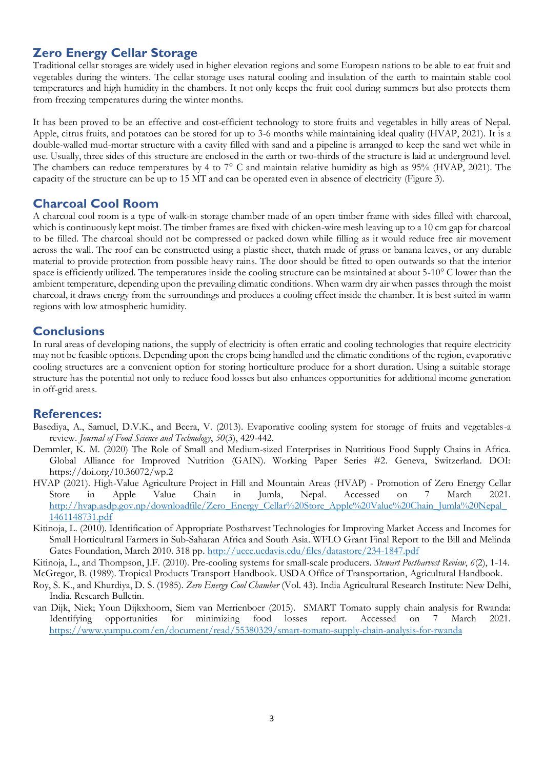## **Zero Energy Cellar Storage**

Traditional cellar storages are widely used in higher elevation regions and some European nations to be able to eat fruit and vegetables during the winters. The cellar storage uses natural cooling and insulation of the earth to maintain stable cool temperatures and high humidity in the chambers. It not only keeps the fruit cool during summers but also protects them from freezing temperatures during the winter months.

It has been proved to be an effective and cost-efficient technology to store fruits and vegetables in hilly areas of Nepal. Apple, citrus fruits, and potatoes can be stored for up to 3-6 months while maintaining ideal quality (HVAP, 2021). It is a double-walled mud-mortar structure with a cavity filled with sand and a pipeline is arranged to keep the sand wet while in use. Usually, three sides of this structure are enclosed in the earth or two-thirds of the structure is laid at underground level. The chambers can reduce temperatures by 4 to 7° C and maintain relative humidity as high as 95% (HVAP, 2021). The capacity of the structure can be up to 15 MT and can be operated even in absence of electricity (Figure 3).

## **Charcoal Cool Room**

A charcoal cool room is a type of walk-in storage chamber made of an open timber frame with sides filled with charcoal, which is continuously kept moist. The timber frames are fixed with chicken-wire mesh leaving up to a 10 cm gap for charcoal to be filled. The charcoal should not be compressed or packed down while filling as it would reduce free air movement across the wall. The roof can be constructed using a plastic sheet, thatch made of grass or banana leaves, or any durable material to provide protection from possible heavy rains. The door should be fitted to open outwards so that the interior space is efficiently utilized. The temperatures inside the cooling structure can be maintained at about 5-10° C lower than the ambient temperature, depending upon the prevailing climatic conditions. When warm dry air when passes through the moist charcoal, it draws energy from the surroundings and produces a cooling effect inside the chamber. It is best suited in warm regions with low atmospheric humidity.

## **Conclusions**

In rural areas of developing nations, the supply of electricity is often erratic and cooling technologies that require electricity may not be feasible options. Depending upon the crops being handled and the climatic conditions of the region, evaporative cooling structures are a convenient option for storing horticulture produce for a short duration. Using a suitable storage structure has the potential not only to reduce food losses but also enhances opportunities for additional income generation in off-grid areas.

#### **References:**

- Basediya, A., Samuel, D.V.K., and Beera, V. (2013). Evaporative cooling system for storage of fruits and vegetables-a review. *Journal of Food Science and Technology*, *50*(3), 429-442.
- Demmler, K. M. (2020) The Role of Small and Medium-sized Enterprises in Nutritious Food Supply Chains in Africa. Global Alliance for Improved Nutrition (GAIN). Working Paper Series #2. Geneva, Switzerland. DOI: https://doi.org/10.36072/wp.2
- HVAP (2021). High-Value Agriculture Project in Hill and Mountain Areas (HVAP) Promotion of Zero Energy Cellar Store in Apple Value Chain in Jumla, Nepal. Accessed on 7 March 2021. [http://hvap.asdp.gov.np/downloadfile/Zero\\_Energy\\_Cellar%20Store\\_Apple%20Value%20Chain\\_Jumla%20Nepal\\_](http://hvap.asdp.gov.np/downloadfile/Zero_Energy_Cellar%20Store_Apple%20Value%20Chain_Jumla%20Nepal_1461148731.pdf) [1461148731.pdf](http://hvap.asdp.gov.np/downloadfile/Zero_Energy_Cellar%20Store_Apple%20Value%20Chain_Jumla%20Nepal_1461148731.pdf)
- Kitinoja, L. (2010). Identification of Appropriate Postharvest Technologies for Improving Market Access and Incomes for Small Horticultural Farmers in Sub-Saharan Africa and South Asia. WFLO Grant Final Report to the Bill and Melinda Gates Foundation, March 2010. 318 pp.<http://ucce.ucdavis.edu/files/datastore/234-1847.pdf>

Kitinoja, L., and Thompson, J.F. (2010). Pre-cooling systems for small-scale producers. *Stewart Postharvest Review*, *6*(2), 1-14.

- McGregor, B. (1989). Tropical Products Transport Handbook. USDA Office of Transportation, Agricultural Handbook. Roy, S. K., and Khurdiya, D. S. (1985). *Zero Energy Cool Chamber* (Vol. 43). India Agricultural Research Institute: New Delhi,
- India. Research Bulletin. van Dijk, Niek; Youn Dijkxhoorn, Siem van Merrienboer (2015). SMART Tomato supply chain analysis for Rwanda: Identifying opportunities for minimizing food losses report. Accessed on 7 March 2021. <https://www.yumpu.com/en/document/read/55380329/smart-tomato-supply-chain-analysis-for-rwanda>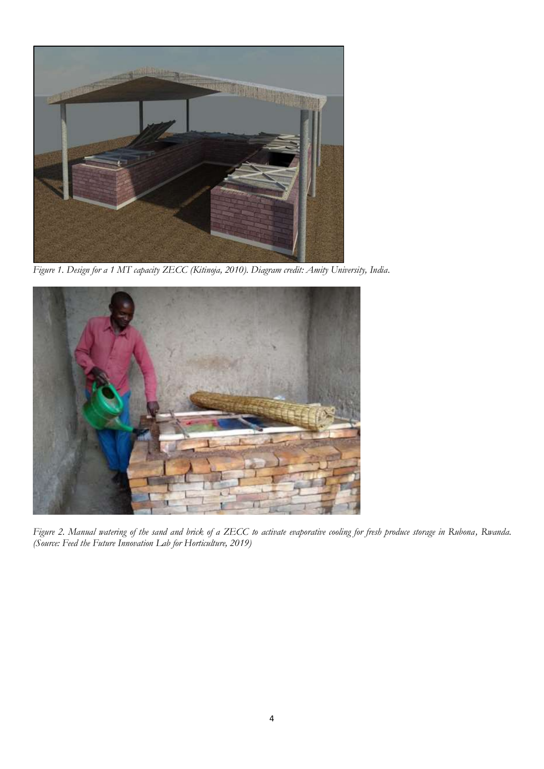

*Figure 1. Design for a 1 MT capacity ZECC (Kitinoja, 2010). Diagram credit: Amity University, India.*



*Figure 2. Manual watering of the sand and brick of a ZECC to activate evaporative cooling for fresh produce storage in Rubona, Rwanda. (Source: Feed the Future Innovation Lab for Horticulture, 2019)*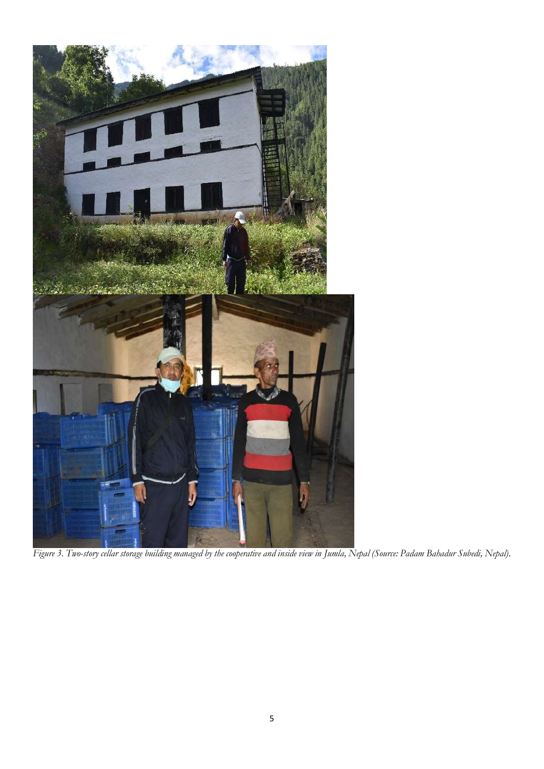

*Figure 3. Two-story cellar storage building managed by the cooperative and inside view in Jumla, Nepal (Source: Padam Bahadur Subedi, Nepal).*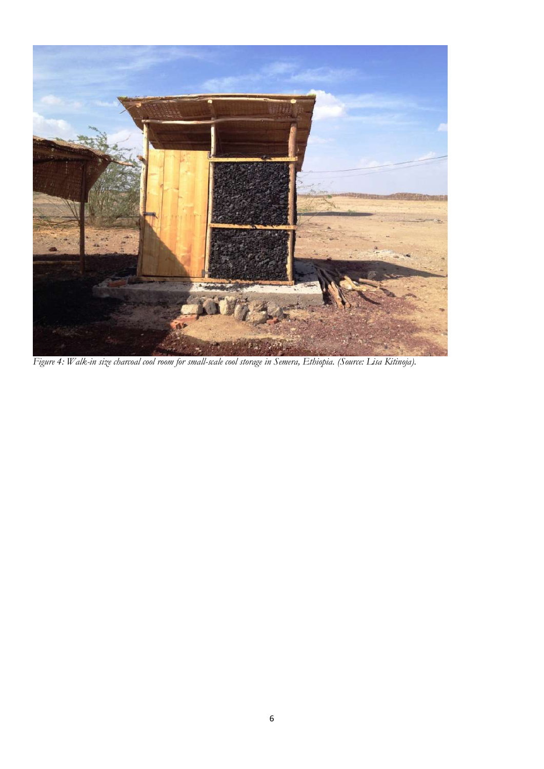

*Figure 4: Walk-in size charcoal cool room for small-scale cool storage in Semera, Ethiopia. (Source: Lisa Kitinoja).*